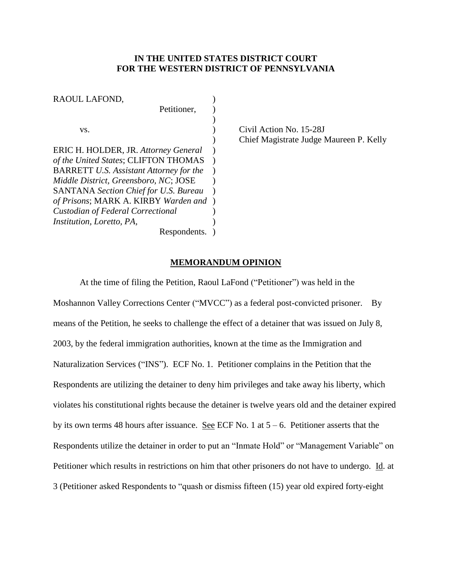## **IN THE UNITED STATES DISTRICT COURT FOR THE WESTERN DISTRICT OF PENNSYLVANIA**

| RAOUL LAFOND,                                  |  |
|------------------------------------------------|--|
| Petitioner,                                    |  |
|                                                |  |
| VS.                                            |  |
|                                                |  |
| ERIC H. HOLDER, JR. Attorney General           |  |
| of the United States; CLIFTON THOMAS           |  |
| <b>BARRETT U.S. Assistant Attorney for the</b> |  |
| Middle District, Greensboro, NC; JOSE          |  |
| <b>SANTANA</b> Section Chief for U.S. Bureau   |  |
| of Prisons; MARK A. KIRBY Warden and           |  |
| <b>Custodian of Federal Correctional</b>       |  |
| <i>Institution, Loretto, PA,</i>               |  |
| Respondents.                                   |  |

Civil Action No. 15-28J ) Chief Magistrate Judge Maureen P. Kelly

#### **MEMORANDUM OPINION**

At the time of filing the Petition, Raoul LaFond ("Petitioner") was held in the Moshannon Valley Corrections Center ("MVCC") as a federal post-convicted prisoner. By means of the Petition, he seeks to challenge the effect of a detainer that was issued on July 8, 2003, by the federal immigration authorities, known at the time as the Immigration and Naturalization Services ("INS"). ECF No. 1. Petitioner complains in the Petition that the Respondents are utilizing the detainer to deny him privileges and take away his liberty, which violates his constitutional rights because the detainer is twelve years old and the detainer expired by its own terms 48 hours after issuance. <u>See</u> ECF No. 1 at  $5 - 6$ . Petitioner asserts that the Respondents utilize the detainer in order to put an "Inmate Hold" or "Management Variable" on Petitioner which results in restrictions on him that other prisoners do not have to undergo. Id. at 3 (Petitioner asked Respondents to "quash or dismiss fifteen (15) year old expired forty-eight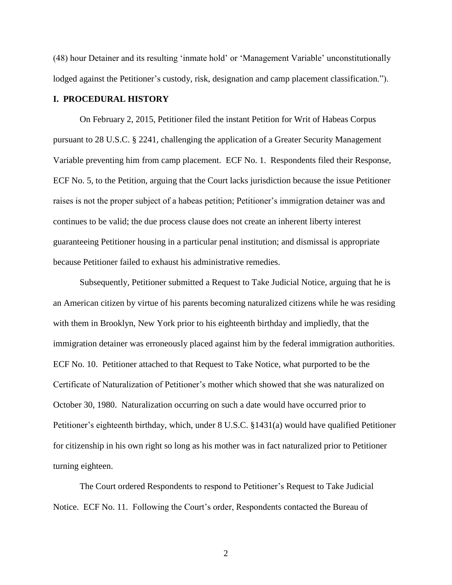(48) hour Detainer and its resulting 'inmate hold' or 'Management Variable' unconstitutionally lodged against the Petitioner's custody, risk, designation and camp placement classification.").

# **I. PROCEDURAL HISTORY**

On February 2, 2015, Petitioner filed the instant Petition for Writ of Habeas Corpus pursuant to 28 U.S.C. § 2241, challenging the application of a Greater Security Management Variable preventing him from camp placement. ECF No. 1. Respondents filed their Response, ECF No. 5, to the Petition, arguing that the Court lacks jurisdiction because the issue Petitioner raises is not the proper subject of a habeas petition; Petitioner's immigration detainer was and continues to be valid; the due process clause does not create an inherent liberty interest guaranteeing Petitioner housing in a particular penal institution; and dismissal is appropriate because Petitioner failed to exhaust his administrative remedies.

Subsequently, Petitioner submitted a Request to Take Judicial Notice, arguing that he is an American citizen by virtue of his parents becoming naturalized citizens while he was residing with them in Brooklyn, New York prior to his eighteenth birthday and impliedly, that the immigration detainer was erroneously placed against him by the federal immigration authorities. ECF No. 10. Petitioner attached to that Request to Take Notice, what purported to be the Certificate of Naturalization of Petitioner's mother which showed that she was naturalized on October 30, 1980. Naturalization occurring on such a date would have occurred prior to Petitioner's eighteenth birthday, which, under 8 U.S.C. §1431(a) would have qualified Petitioner for citizenship in his own right so long as his mother was in fact naturalized prior to Petitioner turning eighteen.

The Court ordered Respondents to respond to Petitioner's Request to Take Judicial Notice. ECF No. 11. Following the Court's order, Respondents contacted the Bureau of

2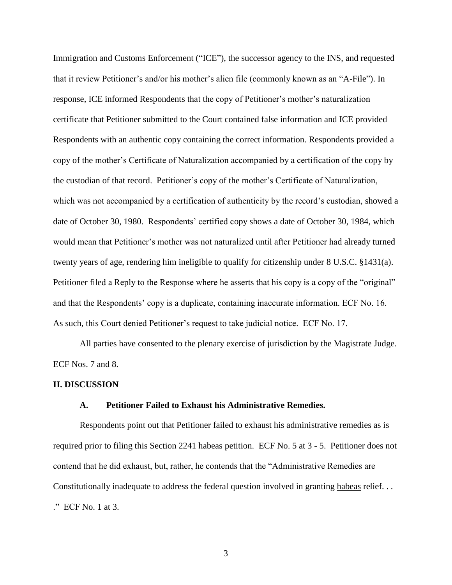Immigration and Customs Enforcement ("ICE"), the successor agency to the INS, and requested that it review Petitioner's and/or his mother's alien file (commonly known as an "A-File"). In response, ICE informed Respondents that the copy of Petitioner's mother's naturalization certificate that Petitioner submitted to the Court contained false information and ICE provided Respondents with an authentic copy containing the correct information. Respondents provided a copy of the mother's Certificate of Naturalization accompanied by a certification of the copy by the custodian of that record. Petitioner's copy of the mother's Certificate of Naturalization, which was not accompanied by a certification of authenticity by the record's custodian, showed a date of October 30, 1980. Respondents' certified copy shows a date of October 30, 1984, which would mean that Petitioner's mother was not naturalized until after Petitioner had already turned twenty years of age, rendering him ineligible to qualify for citizenship under 8 U.S.C. §1431(a). Petitioner filed a Reply to the Response where he asserts that his copy is a copy of the "original" and that the Respondents' copy is a duplicate, containing inaccurate information. ECF No. 16. As such, this Court denied Petitioner's request to take judicial notice. ECF No. 17.

All parties have consented to the plenary exercise of jurisdiction by the Magistrate Judge. ECF Nos. 7 and 8.

#### **II. DISCUSSION**

#### **A. Petitioner Failed to Exhaust his Administrative Remedies.**

Respondents point out that Petitioner failed to exhaust his administrative remedies as is required prior to filing this Section 2241 habeas petition. ECF No. 5 at 3 - 5. Petitioner does not contend that he did exhaust, but, rather, he contends that the "Administrative Remedies are Constitutionally inadequate to address the federal question involved in granting habeas relief. . . ." ECF No. 1 at 3.

3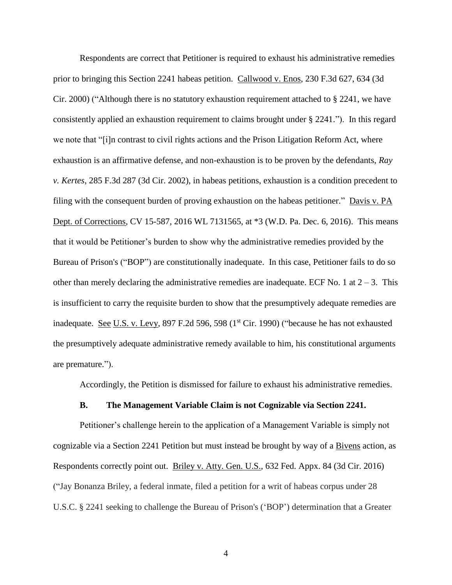Respondents are correct that Petitioner is required to exhaust his administrative remedies prior to bringing this Section 2241 habeas petition. Callwood v. Enos, 230 F.3d 627, 634 (3d Cir. 2000) ("Although there is no statutory exhaustion requirement attached to § 2241, we have consistently applied an exhaustion requirement to claims brought under § 2241."). In this regard we note that "[i]n contrast to civil rights actions and the Prison Litigation Reform Act, where exhaustion is an affirmative defense, and non-exhaustion is to be proven by the defendants, *Ray v. Kertes*, 285 F.3d 287 (3d Cir. 2002), in habeas petitions, exhaustion is a condition precedent to filing with the consequent burden of proving exhaustion on the habeas petitioner." Davis v. PA Dept. of Corrections, CV 15-587, 2016 WL 7131565, at \*3 (W.D. Pa. Dec. 6, 2016). This means that it would be Petitioner's burden to show why the administrative remedies provided by the Bureau of Prison's ("BOP") are constitutionally inadequate. In this case, Petitioner fails to do so other than merely declaring the administrative remedies are inadequate. ECF No. 1 at  $2 - 3$ . This is insufficient to carry the requisite burden to show that the presumptively adequate remedies are inadequate. See U.S. v. Levy, 897 F.2d 596, 598 ( $1<sup>st</sup> Cir.$  1990) ("because he has not exhausted the presumptively adequate administrative remedy available to him, his constitutional arguments are premature.").

Accordingly, the Petition is dismissed for failure to exhaust his administrative remedies.

## **B. The Management Variable Claim is not Cognizable via Section 2241.**

Petitioner's challenge herein to the application of a Management Variable is simply not cognizable via a Section 2241 Petition but must instead be brought by way of a Bivens action, as Respondents correctly point out. Briley v. Atty. Gen. U.S., 632 Fed. Appx. 84 (3d Cir. 2016) ("Jay Bonanza Briley, a federal inmate, filed a petition for a writ of habeas corpus under 28 U.S.C. § 2241 seeking to challenge the Bureau of Prison's ('BOP') determination that a Greater

4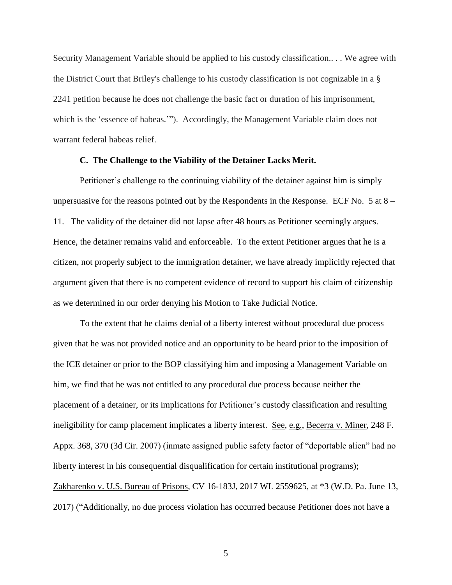Security Management Variable should be applied to his custody classification.. . . We agree with the District Court that Briley's challenge to his custody classification is not cognizable in a § 2241 petition because he does not challenge the basic fact or duration of his imprisonment, which is the 'essence of habeas.'"). Accordingly, the Management Variable claim does not warrant federal habeas relief.

#### **C. The Challenge to the Viability of the Detainer Lacks Merit.**

Petitioner's challenge to the continuing viability of the detainer against him is simply unpersuasive for the reasons pointed out by the Respondents in the Response. ECF No. 5 at  $8 -$ 11. The validity of the detainer did not lapse after 48 hours as Petitioner seemingly argues. Hence, the detainer remains valid and enforceable. To the extent Petitioner argues that he is a citizen, not properly subject to the immigration detainer, we have already implicitly rejected that argument given that there is no competent evidence of record to support his claim of citizenship as we determined in our order denying his Motion to Take Judicial Notice.

To the extent that he claims denial of a liberty interest without procedural due process given that he was not provided notice and an opportunity to be heard prior to the imposition of the ICE detainer or prior to the BOP classifying him and imposing a Management Variable on him, we find that he was not entitled to any procedural due process because neither the placement of a detainer, or its implications for Petitioner's custody classification and resulting ineligibility for camp placement implicates a liberty interest. See, e.g., Becerra v. Miner, 248 F. Appx. 368, 370 (3d Cir. 2007) (inmate assigned public safety factor of "deportable alien" had no liberty interest in his consequential disqualification for certain institutional programs); Zakharenko v. U.S. Bureau of Prisons, CV 16-183J, 2017 WL 2559625, at \*3 (W.D. Pa. June 13, 2017) ("Additionally, no due process violation has occurred because Petitioner does not have a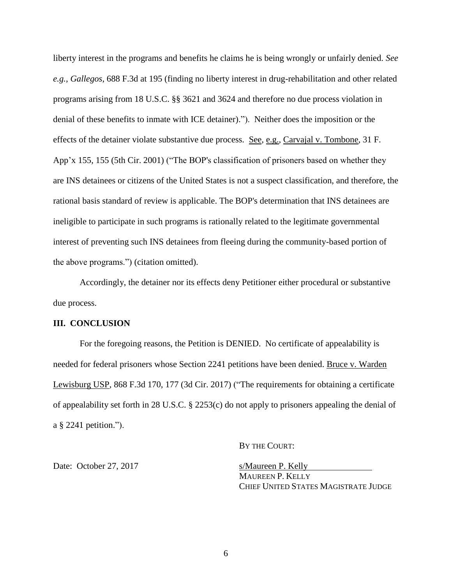liberty interest in the programs and benefits he claims he is being wrongly or unfairly denied. *See e.g., Gallegos*, 688 F.3d at 195 (finding no liberty interest in drug-rehabilitation and other related programs arising from 18 U.S.C. §§ 3621 and 3624 and therefore no due process violation in denial of these benefits to inmate with ICE detainer)."). Neither does the imposition or the effects of the detainer violate substantive due process. See, e.g., Carvajal v. Tombone, 31 F. App'x 155, 155 (5th Cir. 2001) ("The BOP's classification of prisoners based on whether they are INS detainees or citizens of the United States is not a suspect classification, and therefore, the rational basis standard of review is applicable. The BOP's determination that INS detainees are ineligible to participate in such programs is rationally related to the legitimate governmental interest of preventing such INS detainees from fleeing during the community-based portion of the above programs.") (citation omitted).

Accordingly, the detainer nor its effects deny Petitioner either procedural or substantive due process.

## **III. CONCLUSION**

For the foregoing reasons, the Petition is DENIED. No certificate of appealability is needed for federal prisoners whose Section 2241 petitions have been denied. Bruce v. Warden Lewisburg USP, 868 F.3d 170, 177 (3d Cir. 2017) ("The requirements for obtaining a certificate of appealability set forth in 28 U.S.C. § 2253(c) do not apply to prisoners appealing the denial of a § 2241 petition.").

BY THE COURT:

Date: October 27, 2017 s/Maureen P. Kelly

MAUREEN P. KELLY CHIEF UNITED STATES MAGISTRATE JUDGE